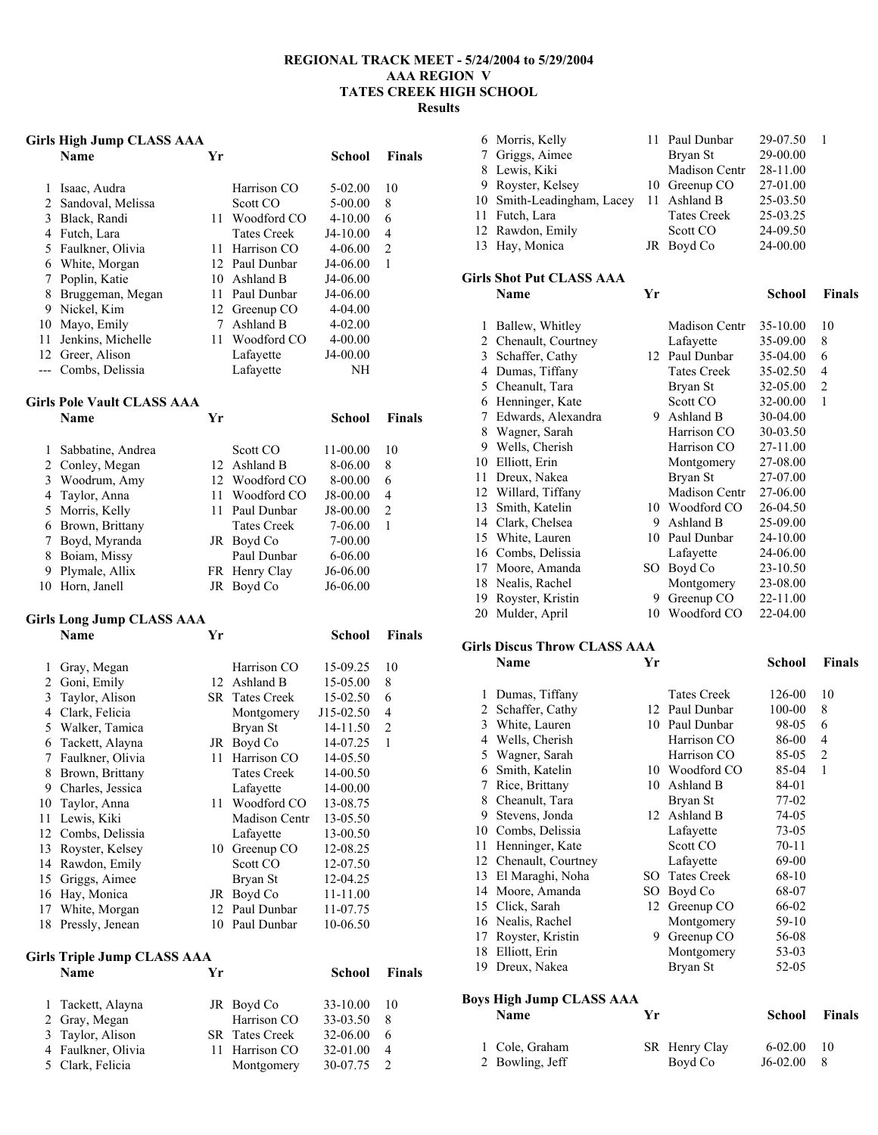### **REGIONAL TRACK MEET - 5/24/2004 to 5/29/2004 AAA REGION V TATES CREEK HIGH SCHOOL Results**

### **Girls High Jump CLASS AAA**

|    | Name                | Yr  |                    | School      | <b>Finals</b>  |
|----|---------------------|-----|--------------------|-------------|----------------|
| 1  | Isaac, Audra        |     | Harrison CO        | $5-02.00$   | 10             |
|    | 2 Sandoval, Melissa |     | Scott CO           | 5-00.00     | 8              |
| 3  | Black, Randi        | 11. | Woodford CO        | $4 - 10.00$ | 6              |
| 4  | Futch, Lara         |     | <b>Tates Creek</b> | $J4-10.00$  | $\overline{4}$ |
|    | 5 Faulkner, Olivia  | 11  | Harrison CO        | $4 - 06.00$ | 2              |
| 6  | White, Morgan       |     | 12 Paul Dunbar     | J4-06.00    | 1              |
|    | Poplin, Katie       | 10  | Ashland B          | J4-06.00    |                |
| 8  | Bruggeman, Megan    | 11  | Paul Dunbar        | J4-06.00    |                |
| 9  | Nickel, Kim         |     | 12 Greenup CO      | $4 - 04.00$ |                |
| 10 | Mayo, Emily         |     | Ashland B          | $4 - 02.00$ |                |
| 11 | Jenkins, Michelle   | 11  | Woodford CO        | $4 - 00.00$ |                |
| 12 | Greer, Alison       |     | Lafayette          | J4-00.00    |                |
|    | Combs, Delissia     |     | Lafayette          | NH          |                |

# **Girls Pole Vault CLASS AAA**

|   | HIIS FUIC VAUIL CLASS AAA |     |                    |             |               |
|---|---------------------------|-----|--------------------|-------------|---------------|
|   | <b>Name</b>               | Үr  |                    | School      | <b>Finals</b> |
|   | Sabbatine, Andrea         |     | Scott CO           | 11-00.00    | 10            |
|   | 2 Conley, Megan           |     | 12 Ashland B       | 8-06.00     | 8             |
|   | 3 Woodrum, Amy            |     | 12 Woodford CO     | 8-00.00     | 6             |
|   | 4 Taylor, Anna            | 11. | Woodford CO        | J8-00.00    | 4             |
|   | 5 Morris, Kelly           | 11  | Paul Dunbar        | J8-00.00    | 2             |
| 6 | Brown, Brittany           |     | <b>Tates Creek</b> | 7-06.00     | 1             |
|   | 7 Boyd, Myranda           |     | JR Boyd Co         | $7 - 00.00$ |               |
| 8 | Boiam, Missy              |     | Paul Dunbar        | $6 - 06.00$ |               |
| 9 | Plymale, Allix            |     | FR Henry Clay      | J6-06.00    |               |
|   | 10 Horn, Janell           |     | JR Boyd Co         | J6-06.00    |               |

**Name Yr School Finals** 

# **Girls Long Jump CLASS AAA**

| 1  | Gray, Megan      |    | Harrison CO           | 15-09.25  | 10           |
|----|------------------|----|-----------------------|-----------|--------------|
| 2  | Goni, Emily      | 12 | Ashland B             | 15-05.00  | 8            |
| 3  | Taylor, Alison   |    | <b>SR</b> Tates Creek | 15-02.50  | 6            |
| 4  | Clark, Felicia   |    | Montgomery            | J15-02.50 | 4            |
| 5  | Walker, Tamica   |    | Brvan St              | 14-11.50  | 2            |
| 6  | Tackett, Alayna  | JR | Boyd Co               | 14-07.25  | $\mathbf{1}$ |
| 7  | Faulkner, Olivia | 11 | Harrison CO           | 14-05.50  |              |
| 8  | Brown, Brittany  |    | <b>Tates Creek</b>    | 14-00.50  |              |
| 9  | Charles, Jessica |    | Lafayette             | 14-00.00  |              |
| 10 | Taylor, Anna     | 11 | Woodford CO           | 13-08.75  |              |
| 11 | Lewis, Kiki      |    | <b>Madison Centr</b>  | 13-05.50  |              |
| 12 | Combs, Delissia  |    | Lafayette             | 13-00.50  |              |
| 13 | Royster, Kelsey  | 10 | Greenup CO            | 12-08.25  |              |
| 14 | Rawdon, Emily    |    | Scott CO              | 12-07.50  |              |
| 15 | Griggs, Aimee    |    | Bryan St              | 12-04.25  |              |
| 16 | Hay, Monica      | JR | Boyd Co               | 11-11.00  |              |
| 17 | White, Morgan    | 12 | Paul Dunbar           | 11-07.75  |              |
| 18 | Pressly, Jenean  | 10 | Paul Dunbar           | 10-06.50  |              |

### **Girls Triple Jump CLASS AAA**

| 1 Tackett, Alayna  | JR Boyd Co            | $33 - 10.00$ | 10             |
|--------------------|-----------------------|--------------|----------------|
| 2 Gray, Megan      | Harrison CO           | 33-03.50     | 8              |
| 3 Taylor, Alison   | <b>SR</b> Tates Creek | 32-06.00     | 6              |
| 4 Faulkner, Olivia | 11 Harrison CO        | 32-01.00     | $\overline{4}$ |
| 5 Clark, Felicia   | Montgomery            | 30-07.75     | $\mathcal{L}$  |

**School Finals** 

| 6 Morris, Kelly            | 11 Paul Dunbar     | 29-07.50 |  |
|----------------------------|--------------------|----------|--|
| 7 Griggs, Aimee            | Bryan St           | 29-00.00 |  |
| 8 Lewis, Kiki              | Madison Centr      | 28-11.00 |  |
| 9 Royster, Kelsey          | 10 Greenup CO      | 27-01.00 |  |
| 10 Smith-Leadingham, Lacey | 11 Ashland B       | 25-03.50 |  |
| 11 Futch, Lara             | <b>Tates Creek</b> | 25-03.25 |  |
| 12 Rawdon, Emily           | Scott CO           | 24-09.50 |  |
| 13 Hay, Monica             | JR Boyd Co         | 24-00.00 |  |

**Name Yr School Finals** 

## **Girls Shot Put CLASS AAA**

| 1  | Ballew, Whitley    |     | Madison Centr      | 35-10.00 | 10             |
|----|--------------------|-----|--------------------|----------|----------------|
| 2  | Chenault, Courtney |     | Lafayette          | 35-09.00 | 8              |
| 3  | Schaffer, Cathy    |     | 12 Paul Dunbar     | 35-04.00 | 6              |
| 4  | Dumas, Tiffany     |     | <b>Tates Creek</b> | 35-02.50 | 4              |
| 5  | Cheanult, Tara     |     | Bryan St           | 32-05.00 | $\overline{2}$ |
| 6  | Henninger, Kate    |     | Scott CO           | 32-00.00 | 1              |
| 7  | Edwards, Alexandra | 9.  | Ashland B          | 30-04.00 |                |
| 8  | Wagner, Sarah      |     | Harrison CO        | 30-03.50 |                |
| 9  | Wells, Cherish     |     | Harrison CO        | 27-11.00 |                |
| 10 | Elliott, Erin      |     | Montgomery         | 27-08.00 |                |
| 11 | Dreux, Nakea       |     | Bryan St           | 27-07.00 |                |
| 12 | Willard, Tiffany   |     | Madison Centr      | 27-06.00 |                |
| 13 | Smith, Katelin     | 10  | Woodford CO        | 26-04.50 |                |
| 14 | Clark, Chelsea     | 9   | Ashland B          | 25-09.00 |                |
| 15 | White, Lauren      | 10  | Paul Dunbar        | 24-10.00 |                |
| 16 | Combs, Delissia    |     | Lafayette          | 24-06.00 |                |
| 17 | Moore, Amanda      | SO. | Boyd Co            | 23-10.50 |                |
| 18 | Nealis, Rachel     |     | Montgomery         | 23-08.00 |                |
| 19 | Royster, Kristin   | 9   | Greenup CO         | 22-11.00 |                |
| 20 | Mulder, April      | 10  | Woodford CO        | 22-04.00 |                |

### **Girls Discus Throw CLASS AAA**

|    | Name               | Yr |                    | School    | <b>Finals</b>  |
|----|--------------------|----|--------------------|-----------|----------------|
| 1  | Dumas, Tiffany     |    | <b>Tates Creek</b> | 126-00    | 10             |
| 2  | Schaffer, Cathy    | 12 | Paul Dunbar        | 100-00    | 8              |
| 3  | White, Lauren      | 10 | Paul Dunbar        | 98-05     | 6              |
| 4  | Wells, Cherish     |    | Harrison CO        | 86-00     | 4              |
| 5  | Wagner, Sarah      |    | Harrison CO        | 85-05     | $\overline{2}$ |
| 6  | Smith, Katelin     | 10 | Woodford CO        | 85-04     | 1              |
| 7  | Rice, Brittany     | 10 | Ashland B          | 84-01     |                |
| 8  | Cheanult, Tara     |    | Bryan St           | 77-02     |                |
| 9  | Stevens, Jonda     | 12 | Ashland B          | 74-05     |                |
| 10 | Combs, Delissia    |    | Lafayette          | 73-05     |                |
| 11 | Henninger, Kate    |    | Scott CO           | $70 - 11$ |                |
| 12 | Chenault, Courtney |    | Lafayette          | 69-00     |                |
| 13 | El Maraghi, Noha   | SO | <b>Tates Creek</b> | 68-10     |                |
| 14 | Moore, Amanda      | SO | Boyd Co            | 68-07     |                |
| 15 | Click, Sarah       | 12 | Greenup CO         | 66-02     |                |
| 16 | Nealis, Rachel     |    | Montgomery         | 59-10     |                |
| 17 | Royster, Kristin   | 9  | Greenup CO         | 56-08     |                |
| 18 | Elliott, Erin      |    | Montgomery         | 53-03     |                |
| 19 | Dreux, Nakea       |    | Bryan St           | 52-05     |                |

### **Boys High Jump CLASS AAA**

| <b>Name</b>     | Vr            | School      | <b>Finals</b> |
|-----------------|---------------|-------------|---------------|
| 1 Cole, Graham  | SR Henry Clay | $6 - 02.00$ | 10            |
| 2 Bowling, Jeff | Boyd Co       | $J6-02.00$  |               |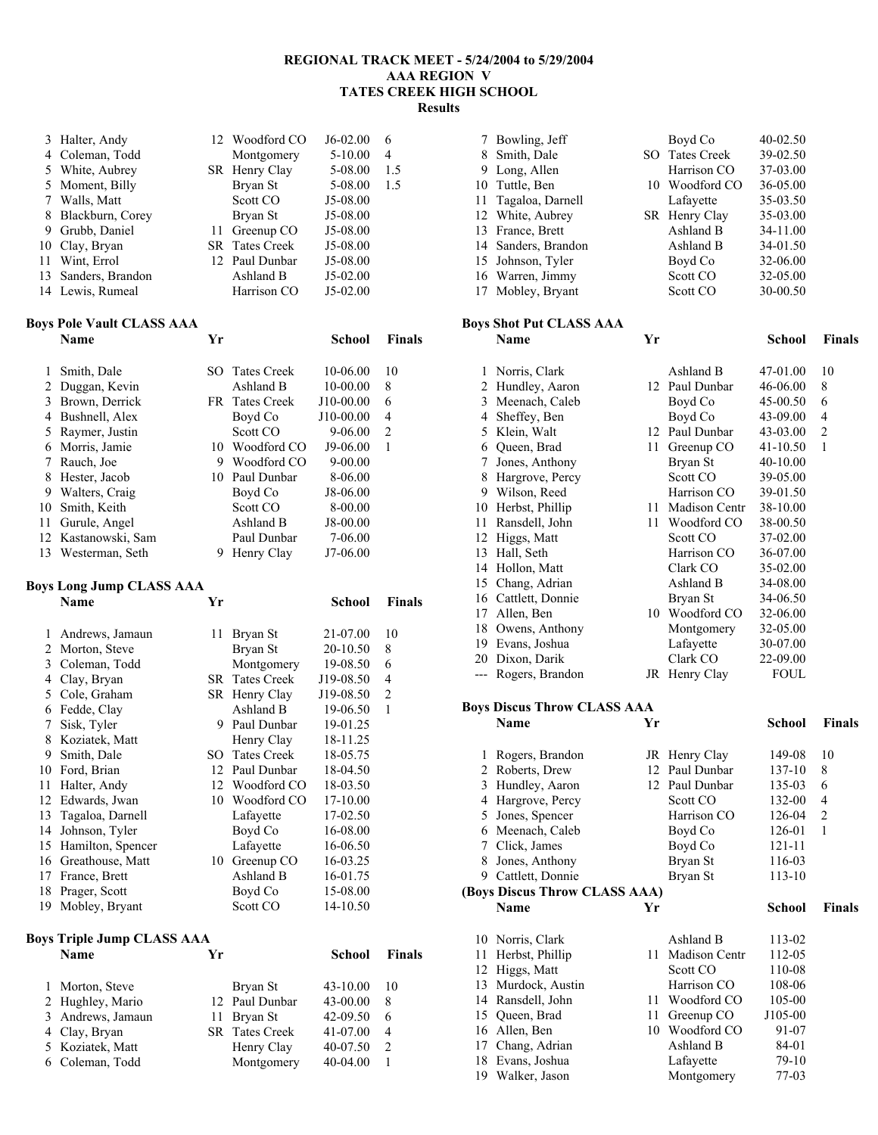### **REGIONAL TRACK MEET - 5/24/2004 to 5/29/2004 AAA REGION V TATES CREEK HIGH SCHOOL Results**

|    | 3 Halter, Andy      | 12 Woodford CO        | $J6-02.00$  | 6   |
|----|---------------------|-----------------------|-------------|-----|
|    | 4 Coleman, Todd     | Montgomery            | $5 - 10.00$ | 4   |
|    | 5 White, Aubrey     | SR Henry Clay         | 5-08.00     | 1.5 |
|    | 5 Moment, Billy     | Bryan St              | 5-08.00     | 1.5 |
|    | 7 Walls, Matt       | Scott CO              | J5-08.00    |     |
| 8  | Blackburn, Corey    | Bryan St              | J5-08.00    |     |
|    | 9 Grubb, Daniel     | 11 Greenup CO         | J5-08.00    |     |
|    | 10 Clay, Bryan      | <b>SR</b> Tates Creek | J5-08.00    |     |
| 11 | Wint, Errol         | 12 Paul Dunbar        | J5-08.00    |     |
|    | 13 Sanders, Brandon | Ashland B             | $J5-02.00$  |     |
|    | 14 Lewis, Rumeal    | Harrison CO           | $J5-02.00$  |     |

# **Boys Pole Vault CLASS AAA**

|    | oys Pole Vault CLASS AAA |     |                    |              |                |
|----|--------------------------|-----|--------------------|--------------|----------------|
|    | Name                     | Yг  |                    | School       | <b>Finals</b>  |
| 1  | Smith, Dale              | SO. | <b>Tates Creek</b> | $10 - 06.00$ | 10             |
| 2  | Duggan, Kevin            |     | Ashland B          | $10-00.00$   | 8              |
| 3  | Brown, Derrick           |     | FR Tates Creek     | J10-00.00    | 6              |
| 4  | Bushnell, Alex           |     | Boyd Co            | J10-00.00    | $\overline{4}$ |
| 5  | Raymer, Justin           |     | Scott CO           | 9-06.00      | $\overline{2}$ |
| 6  | Morris, Jamie            | 10. | Woodford CO        | J9-06.00     | 1              |
| 7  | Rauch, Joe               | 9   | Woodford CO        | $9 - 00.00$  |                |
| 8  | Hester, Jacob            | 10  | Paul Dunbar        | 8-06.00      |                |
| 9  | Walters, Craig           |     | Boyd Co            | J8-06.00     |                |
| 10 | Smith, Keith             |     | Scott CO           | 8-00.00      |                |
| 11 | Gurule, Angel            |     | Ashland B          | J8-00.00     |                |
|    | 12 Kastanowski, Sam      |     | Paul Dunbar        | 7-06.00      |                |
| 13 | Westerman, Seth          | 9   | Henry Clay         | J7-06.00     |                |
|    |                          |     |                    |              |                |

# **Boys Long Jump CLASS AAA**

|    | BOYS LONG JUMP CLASS AAA   |     |                    |           |                |
|----|----------------------------|-----|--------------------|-----------|----------------|
|    | Name                       | Yr  |                    | School    | <b>Finals</b>  |
| 1  | Andrews, Jamaun            | 11  | Bryan St           | 21-07.00  | 10             |
| 2  | Morton, Steve              |     | Bryan St           | 20-10.50  | 8              |
| 3  | Coleman, Todd              |     | Montgomery         | 19-08.50  | 6              |
| 4  | Clay, Bryan                | SR. | Tates Creek        | J19-08.50 | $\overline{4}$ |
| 5  | Cole, Graham               |     | SR Henry Clay      | J19-08.50 | $\overline{c}$ |
| 6  | Fedde, Clay                |     | Ashland B          | 19-06.50  | 1              |
| 7  | Sisk, Tyler                | 9   | Paul Dunbar        | 19-01.25  |                |
| 8  | Koziatek, Matt             |     | Henry Clay         | 18-11.25  |                |
| 9  | Smith, Dale                | SO. | <b>Tates Creek</b> | 18-05.75  |                |
| 10 | Ford, Brian                | 12  | Paul Dunbar        | 18-04.50  |                |
| 11 | Halter, Andy               |     | 12 Woodford CO     | 18-03.50  |                |
| 12 | Edwards, Jwan              | 10  | Woodford CO        | 17-10.00  |                |
| 13 | Tagaloa, Darnell           |     | Lafayette          | 17-02.50  |                |
| 14 | Johnson, Tyler             |     | Boyd Co            | 16-08.00  |                |
| 15 | Hamilton, Spencer          |     | Lafayette          | 16-06.50  |                |
| 16 | Greathouse, Matt           | 10  | Greenup CO         | 16-03.25  |                |
| 17 | France, Brett              |     | Ashland B          | 16-01.75  |                |
|    | 18 Prager, Scott           |     | Boyd Co            | 15-08.00  |                |
| 19 | Mobley, Bryant             |     | Scott CO           | 14-10.50  |                |
|    | Boys Triple Jump CLASS AAA |     |                    |           |                |
|    | Name                       | Yг  |                    | School    | Finals         |

| гуаше             | . . |                       | эспоот       | гніа           |
|-------------------|-----|-----------------------|--------------|----------------|
| 1 Morton, Steve   |     | Bryan St              | $43 - 10.00$ | 10             |
| 2 Hughley, Mario  |     | 12 Paul Dunbar        | 43-00.00     | 8              |
| 3 Andrews, Jamaun |     | 11 Bryan St           | 42-09.50     | 6              |
| 4 Clay, Bryan     |     | <b>SR</b> Tates Creek | 41-07.00     | $\overline{4}$ |
| 5 Koziatek, Matt  |     | Henry Clay            | 40-07.50     | $\mathcal{L}$  |
| 6 Coleman, Todd   |     | Montgomery            | $40 - 04.00$ |                |
|                   |     |                       |              |                |

| 7 Bowling, Jeff     | Boyd Co        | 40-02.50 |
|---------------------|----------------|----------|
| 8 Smith, Dale       | SO Tates Creek | 39-02.50 |
| 9 Long, Allen       | Harrison CO    | 37-03.00 |
| 10 Tuttle, Ben      | 10 Woodford CO | 36-05.00 |
| 11 Tagaloa, Darnell | Lafayette      | 35-03.50 |
| 12 White, Aubrey    | SR Henry Clay  | 35-03.00 |
| 13 France, Brett    | Ashland B      | 34-11.00 |
| 14 Sanders, Brandon | Ashland B      | 34-01.50 |
| 15 Johnson, Tyler   | Boyd Co        | 32-06.00 |
| 16 Warren, Jimmy    | Scott CO       | 32-05.00 |
| 17 Mobley, Bryant   | Scott CO       | 30-00.50 |

### **Boys Shot Put CLASS AAA**

|    | Name                | Yr |                      | School      | Finals |
|----|---------------------|----|----------------------|-------------|--------|
| 1  | Norris, Clark       |    | Ashland B            | 47-01.00    | 10     |
| 2  | Hundley, Aaron      | 12 | Paul Dunbar          | 46-06.00    | 8      |
| 3  | Meenach, Caleb      |    | Boyd Co              | 45-00.50    | 6      |
| 4  | Sheffey, Ben        |    | Boyd Co              | 43-09.00    | 4      |
| 5  | Klein, Walt         | 12 | Paul Dunbar          | 43-03.00    | 2      |
| 6  | Queen, Brad         | 11 | Greenup CO           | 41-10.50    | 1      |
| 7  | Jones, Anthony      |    | Bryan St             | 40-10.00    |        |
| 8  | Hargrove, Percy     |    | Scott CO             | 39-05.00    |        |
| 9  | Wilson, Reed        |    | Harrison CO          | 39-01.50    |        |
| 10 | Herbst, Phillip     | 11 | <b>Madison Centr</b> | 38-10.00    |        |
| 11 | Ransdell, John      | 11 | Woodford CO          | 38-00.50    |        |
| 12 | Higgs, Matt         |    | Scott CO             | 37-02.00    |        |
| 13 | Hall, Seth          |    | Harrison CO          | 36-07.00    |        |
| 14 | Hollon, Matt        |    | Clark CO             | 35-02.00    |        |
| 15 | Chang, Adrian       |    | Ashland B            | 34-08.00    |        |
| 16 | Cattlett, Donnie    |    | Bryan St             | 34-06.50    |        |
| 17 | Allen, Ben          | 10 | Woodford CO          | 32-06.00    |        |
| 18 | Owens, Anthony      |    | Montgomery           | 32-05.00    |        |
| 19 | Evans, Joshua       |    | Lafayette            | 30-07.00    |        |
| 20 | Dixon, Darik        |    | Clark CO             | 22-09.00    |        |
|    | --- Rogers, Brandon |    | JR Henry Clay        | <b>FOUL</b> |        |

#### **Boys Discus Throw CLASS AAA**

|                               | <b>Name</b>                    | Yr   |                                  | School           | <b>Finals</b> |
|-------------------------------|--------------------------------|------|----------------------------------|------------------|---------------|
| 1                             | Rogers, Brandon                |      | JR Henry Clay                    | 149-08           | 10            |
| 2                             | Roberts, Drew                  | 12   | Paul Dunbar                      | 137-10           | 8             |
| 3                             | Hundley, Aaron                 | 12   | Paul Dunbar                      | 135-03           | 6             |
| 4                             | Hargrove, Percy                |      | Scott CO                         | 132-00           | 4             |
| 5                             | Jones, Spencer                 |      | Harrison CO                      | 126-04           | 2             |
| 6                             | Meenach, Caleb                 |      | Boyd Co                          | 126-01           | 1             |
| 7                             | Click, James                   |      | Boyd Co                          | 121-11           |               |
| 8                             | Jones, Anthony                 |      | Bryan St                         | 116-03           |               |
| 9                             | Cattlett, Donnie               |      | Bryan St                         | 113-10           |               |
| (Boys Discus Throw CLASS AAA) |                                |      |                                  |                  |               |
|                               |                                |      |                                  |                  |               |
|                               | <b>Name</b>                    | Yr   |                                  | School           | <b>Finals</b> |
|                               |                                |      |                                  |                  |               |
| 10<br>11                      | Norris, Clark                  | 11   | Ashland B                        | 113-02           |               |
| 12                            | Herbst, Phillip                |      | <b>Madison Centr</b><br>Scott CO | 112-05<br>110-08 |               |
| 13                            | Higgs, Matt<br>Murdock, Austin |      | Harrison CO                      | 108-06           |               |
| 14                            | Ransdell, John                 | 11   | Woodford CO                      | 105-00           |               |
| 15                            | Queen, Brad                    | 11 - | Greenup CO                       | J105-00          |               |
| 16                            | Allen, Ben                     | 10   | Woodford CO                      | 91-07            |               |
| 17                            | Chang, Adrian                  |      | Ashland B                        | 84-01            |               |
| 18                            | Evans, Joshua                  |      | Lafayette                        | 79-10            |               |